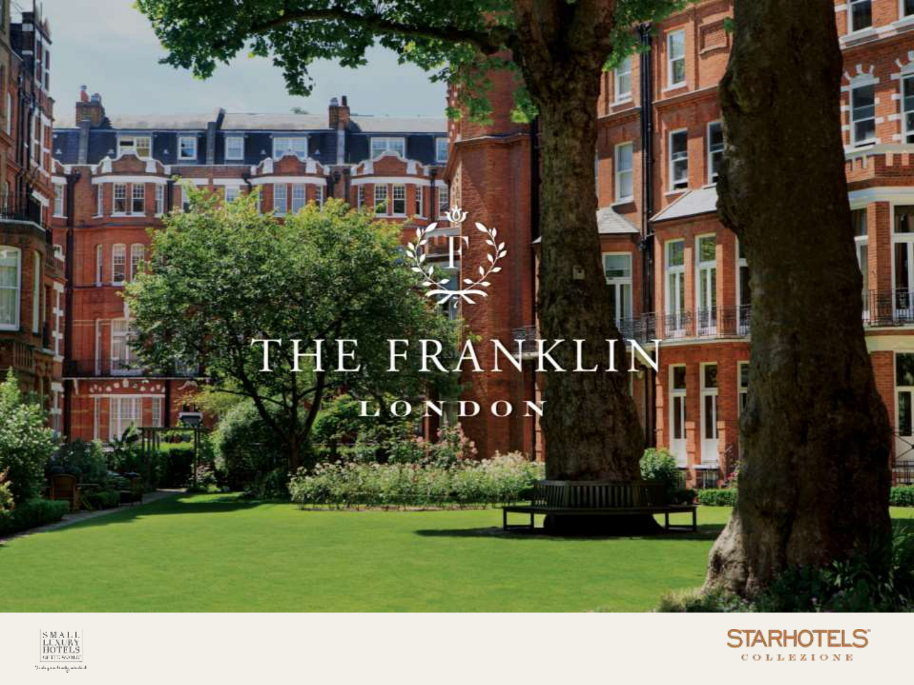# THE FRANKLIN





u.



de la T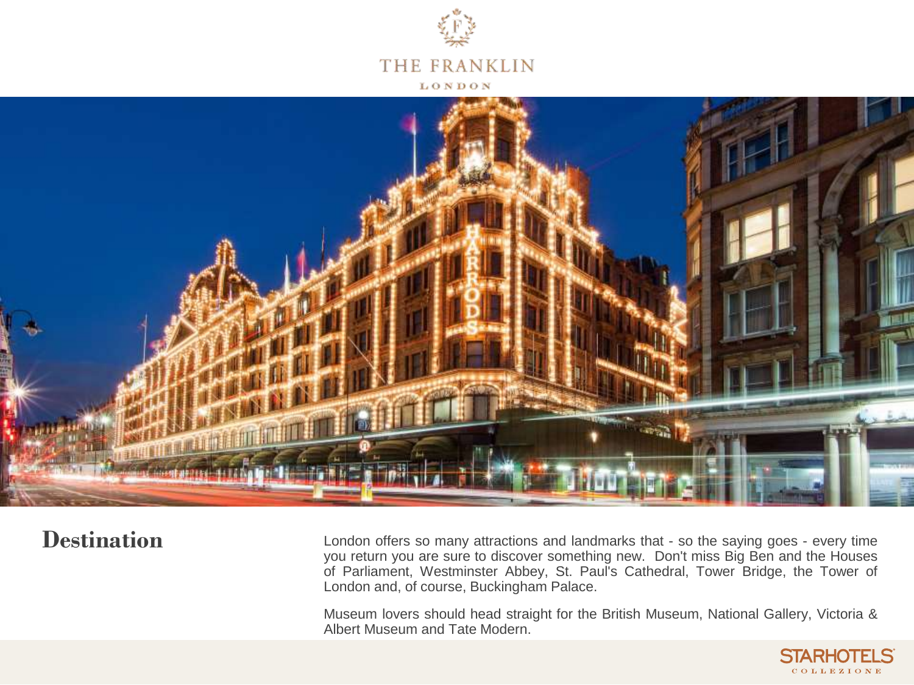



# **Destination**

London offers so many attractions and landmarks that - so the saying goes - every time you return you are sure to discover something new. Don't miss Big Ben and the Houses of Parliament, Westminster Abbey, St. Paul's Cathedral, Tower Bridge, the Tower of London and, of course, Buckingham Palace.

Museum lovers should head straight for the British Museum, National Gallery, Victoria & Albert Museum and Tate Modern.

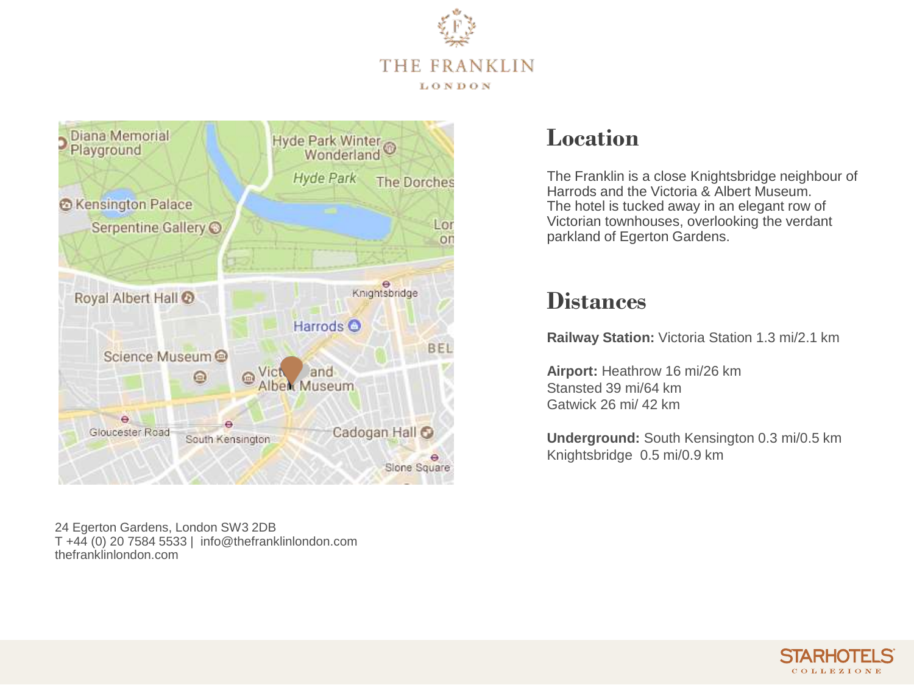



24 Egerton Gardens, London SW3 2DB T +44 (0) 20 7584 5533 | info@thefranklinlondon.com thefranklinlondon.com

## **Location**

The Franklin is a close Knightsbridge neighbour of Harrods and the Victoria & Albert Museum. The hotel is tucked away in an elegant row of Victorian townhouses, overlooking the verdant parkland of Egerton Gardens.

## **Distances**

**Railway Station:** Victoria Station 1.3 mi/2.1 km

**Airport:** Heathrow 16 mi/26 km Stansted 39 mi/64 km Gatwick 26 mi/ 42 km

**Underground:** South Kensington 0.3 mi/0.5 km Knightsbridge 0.5 mi/0.9 km

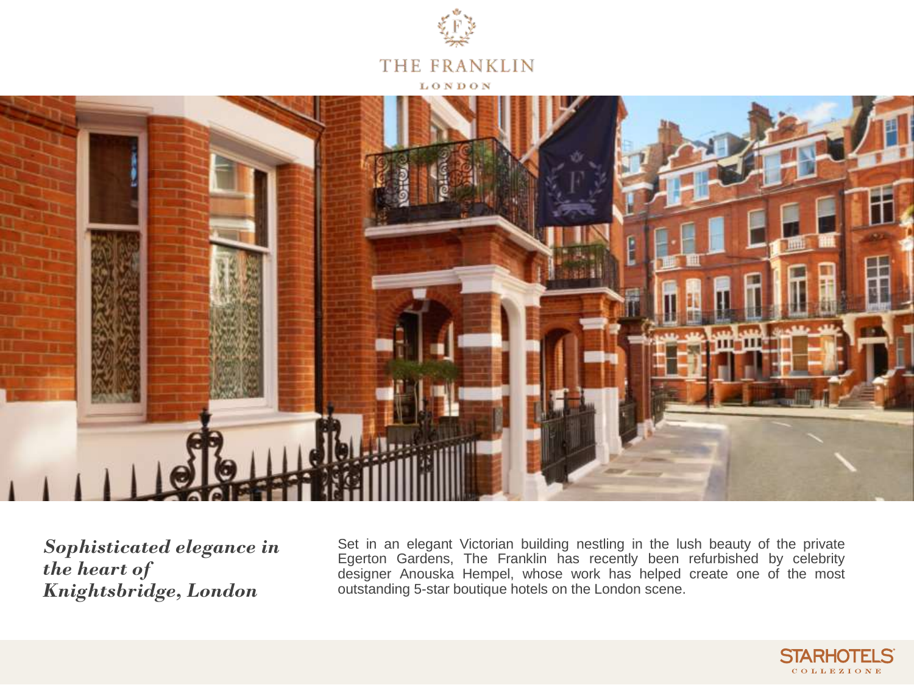



*Sophisticated elegance in the heart of Knightsbridge, London*

Set in an elegant Victorian building nestling in the lush beauty of the private Egerton Gardens, The Franklin has recently been refurbished by celebrity designer Anouska Hempel, whose work has helped create one of the most outstanding 5-star boutique hotels on the London scene.

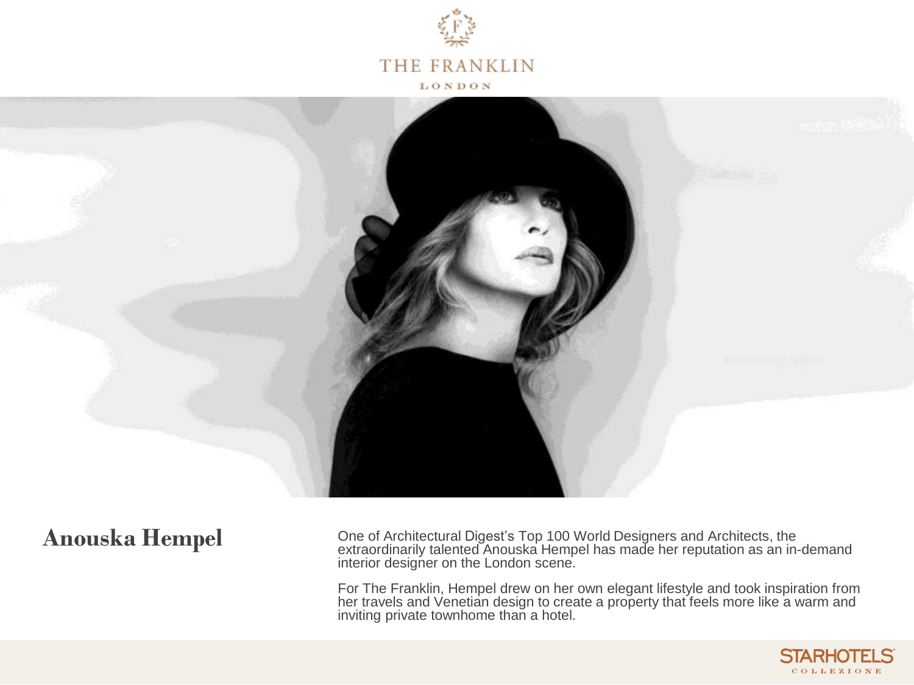



# **Anouska Hempel**

One of Architectural Digest's Top 100 World Designers and Architects, the extraordinarily talented Anouska Hempel has made her reputation as an in-demand interior designer on the London scene.

For The Franklin, Hempel drew on her own elegant lifestyle and took inspiration from her travels and Venetian design to create a property that feels more like a warm and inviting private townhome than a hotel.

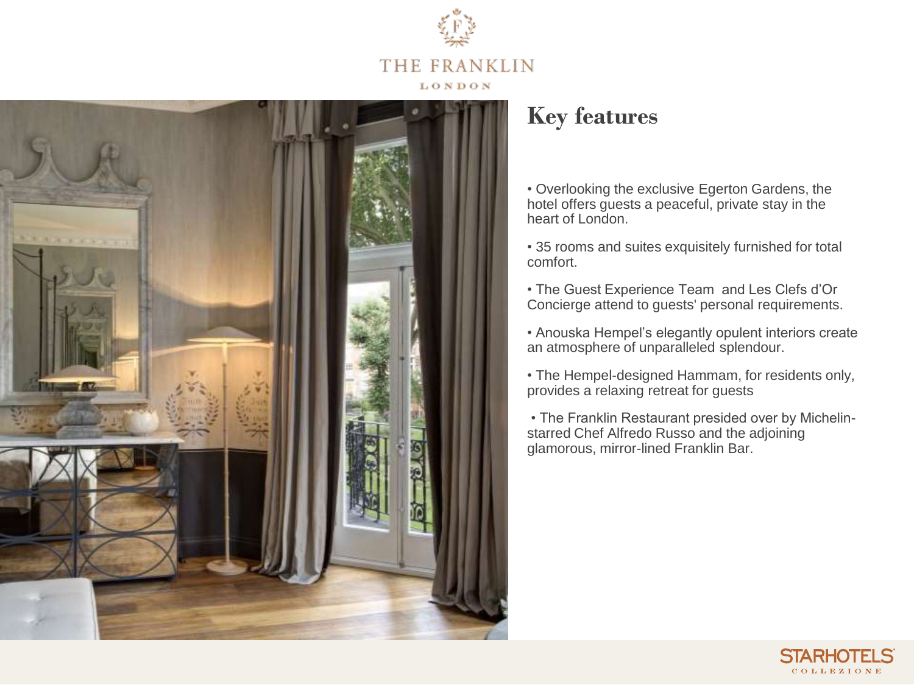



## **Key features**

• Overlooking the exclusive Egerton Gardens, the hotel offers guests a peaceful, private stay in the heart of London.

• 35 rooms and suites exquisitely furnished for total comfort.

• The Guest Experience Team and Les Clefs d'Or Concierge attend to guests' personal requirements.

• Anouska Hempel's elegantly opulent interiors create an atmosphere of unparalleled splendour.

• The Hempel-designed Hammam, for residents only, provides a relaxing retreat for guests

• The Franklin Restaurant presided over by Michelinstarred Chef Alfredo Russo and the adjoining glamorous, mirror-lined Franklin Bar.

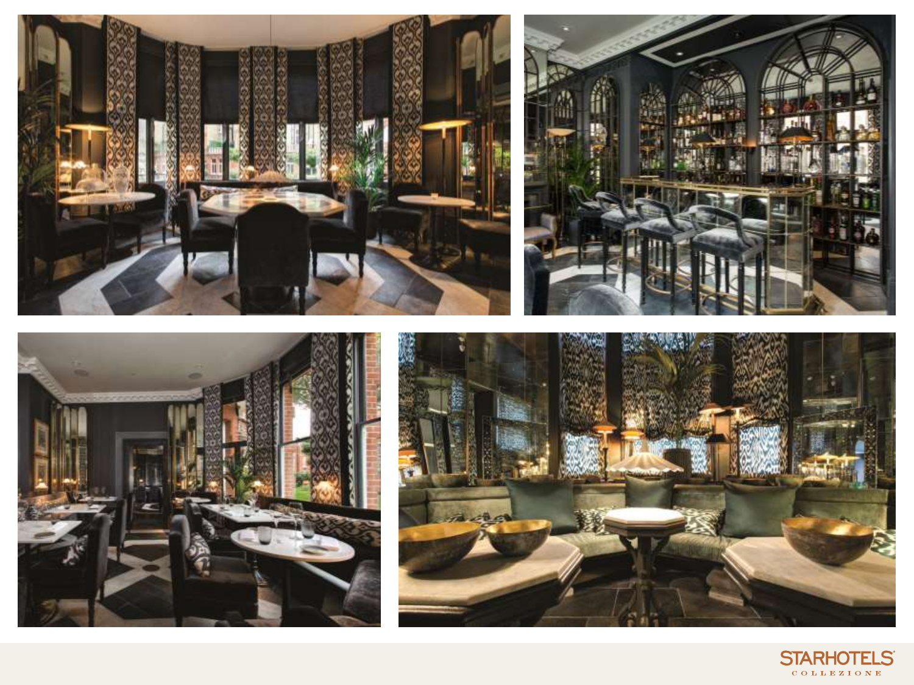

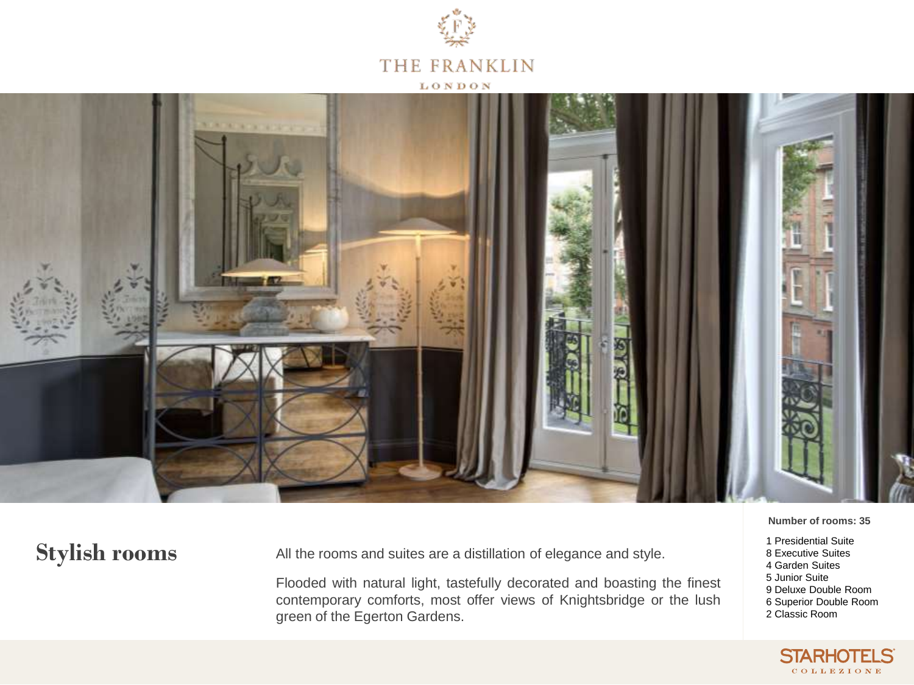



# **Stylish rooms**

All the rooms and suites are a distillation of elegance and style.

Flooded with natural light, tastefully decorated and boasting the finest contemporary comforts, most offer views of Knightsbridge or the lush green of the Egerton Gardens.

**Number of rooms: 35**

- 1 Presidential Suite
- 8 Executive Suites
- 4 Garden Suites
- 5 Junior Suite
- 9 Deluxe Double Room
- 6 Superior Double Room
- 2 Classic Room

STARF  $C O L L E Z I O N E$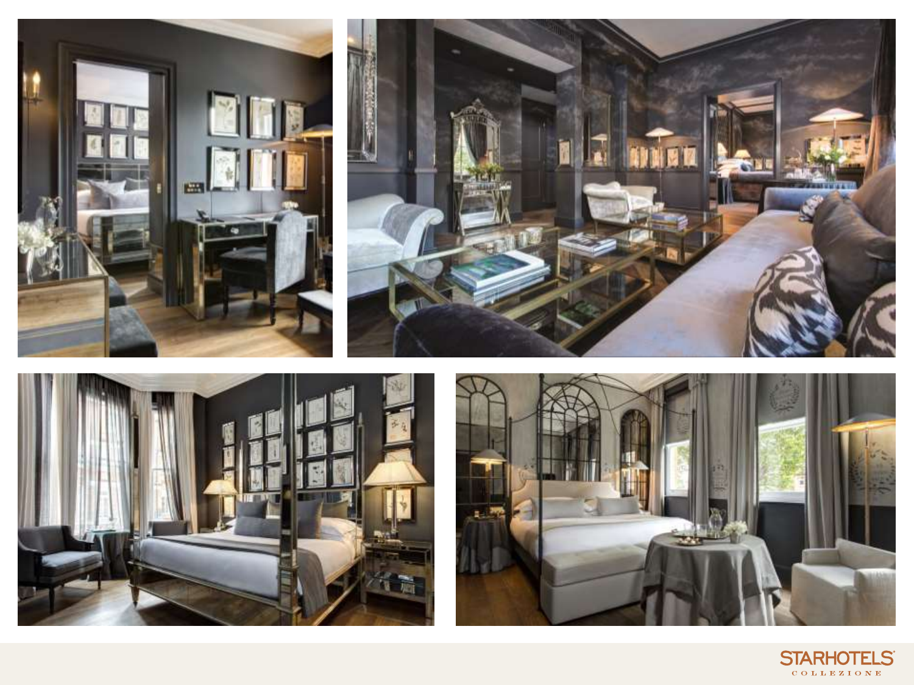







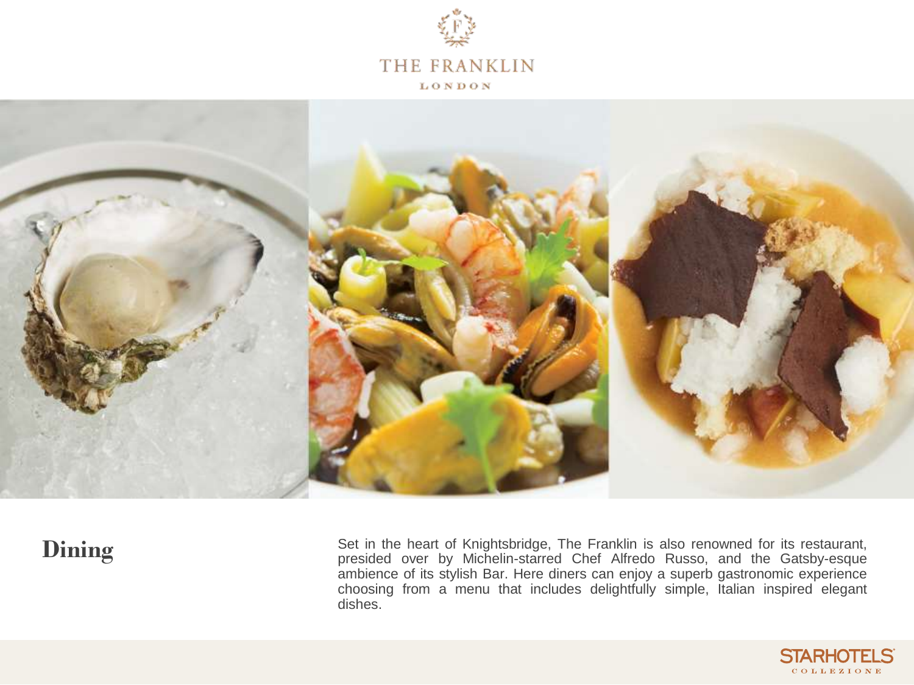



**Dining**

Set in the heart of Knightsbridge, The Franklin is also renowned for its restaurant, presided over by Michelin-starred Chef Alfredo Russo, and the Gatsby-esque ambience of its stylish Bar . Here diners can enjoy a superb gastronomic experience choosing from a menu that includes delightfully simple, Italian inspired elegant dishes .